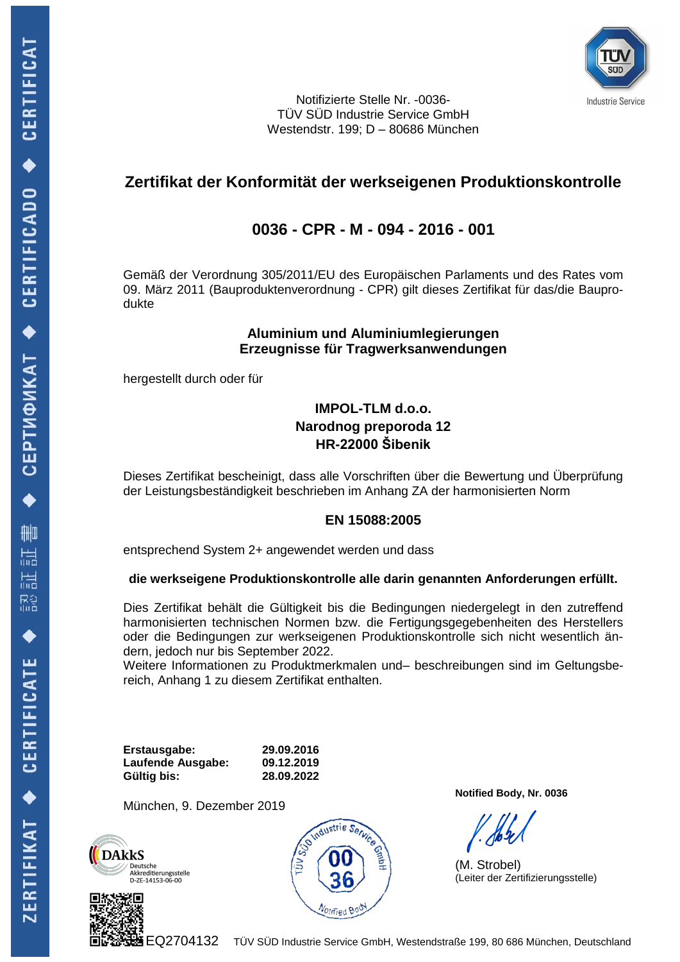

Notifizierte Stelle Nr. -0036- TÜV SÜD Industrie Service GmbH Westendstr. 199; D – 80686 München

# **Zertifikat der Konformität der werkseigenen Produktionskontrolle**

# **0036 - CPR - M - 094 - 2016 - 001**

Gemäß der Verordnung 305/2011/EU des Europäischen Parlaments und des Rates vom 09. März 2011 (Bauproduktenverordnung - CPR) gilt dieses Zertifikat für das/die Bauprodukte

#### **Aluminium und Aluminiumlegierungen Erzeugnisse für Tragwerksanwendungen**

hergestellt durch oder für

### **IMPOL-TLM d.o.o. Narodnog preporoda 12 HR-22000 Šibenik**

Dieses Zertifikat bescheinigt, dass alle Vorschriften über die Bewertung und Überprüfung der Leistungsbeständigkeit beschrieben im Anhang ZA der harmonisierten Norm

### **EN 15088:2005**

entsprechend System 2+ angewendet werden und dass

#### **die werkseigene Produktionskontrolle alle darin genannten Anforderungen erfüllt.**

Dies Zertifikat behält die Gültigkeit bis die Bedingungen niedergelegt in den zutreffend harmonisierten technischen Normen bzw. die Fertigungsgegebenheiten des Herstellers oder die Bedingungen zur werkseigenen Produktionskontrolle sich nicht wesentlich ändern, jedoch nur bis September 2022.

Weitere Informationen zu Produktmerkmalen und– beschreibungen sind im Geltungsbereich, Anhang 1 zu diesem Zertifikat enthalten.

**Erstausgabe: 29.09.2016 Laufende Ausgabe: 09.12.2019 Gültig bis: 28.09.2022**

München, 9. Dezember 2019







**Notified Body, Nr. 0036**

(M. Strobel) (Leiter der Zertifizierungsstelle)